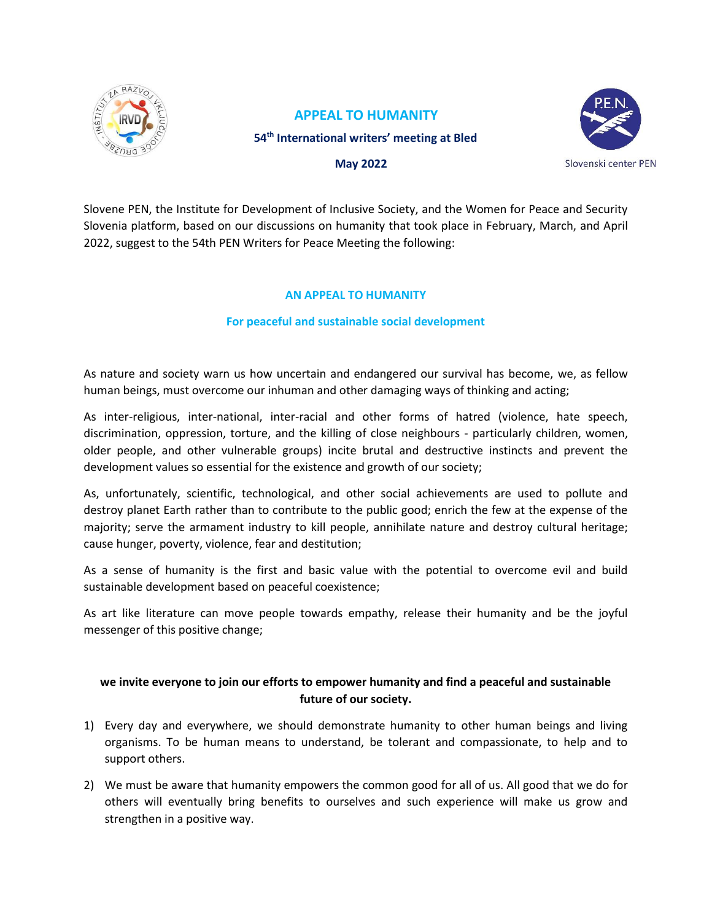

## **APPEAL TO HUMANITY 54th International writers' meeting at Bled**



 **May 2022**

Slovene PEN, the Institute for Development of Inclusive Society, and the Women for Peace and Security Slovenia platform, based on our discussions on humanity that took place in February, March, and April 2022, suggest to the 54th PEN Writers for Peace Meeting the following:

## **AN APPEAL TO HUMANITY**

## **For peaceful and sustainable social development**

As nature and society warn us how uncertain and endangered our survival has become, we, as fellow human beings, must overcome our inhuman and other damaging ways of thinking and acting;

As inter-religious, inter-national, inter-racial and other forms of hatred (violence, hate speech, discrimination, oppression, torture, and the killing of close neighbours - particularly children, women, older people, and other vulnerable groups) incite brutal and destructive instincts and prevent the development values so essential for the existence and growth of our society;

As, unfortunately, scientific, technological, and other social achievements are used to pollute and destroy planet Earth rather than to contribute to the public good; enrich the few at the expense of the majority; serve the armament industry to kill people, annihilate nature and destroy cultural heritage; cause hunger, poverty, violence, fear and destitution;

As a sense of humanity is the first and basic value with the potential to overcome evil and build sustainable development based on peaceful coexistence;

As art like literature can move people towards empathy, release their humanity and be the joyful messenger of this positive change;

## **we invite everyone to join our efforts to empower humanity and find a peaceful and sustainable future of our society.**

- 1) Every day and everywhere, we should demonstrate humanity to other human beings and living organisms. To be human means to understand, be tolerant and compassionate, to help and to support others.
- 2) We must be aware that humanity empowers the common good for all of us. All good that we do for others will eventually bring benefits to ourselves and such experience will make us grow and strengthen in a positive way.